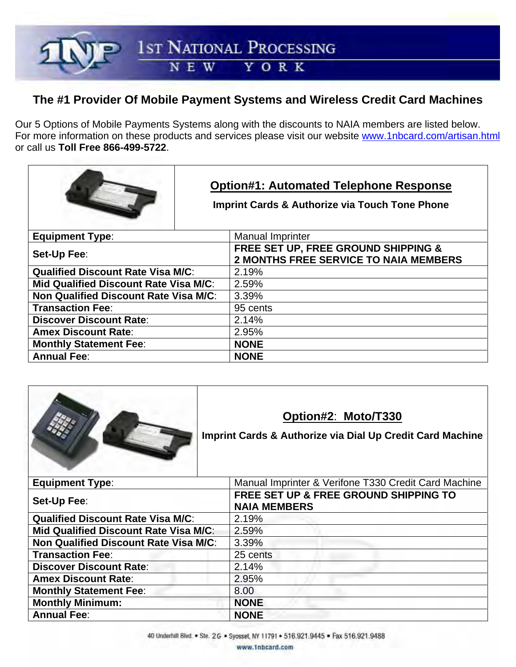1st NATIONAL PROCESSING

#### YORK N E W

# **The #1 Provider Of Mobile Payment Systems and Wireless Credit Card Machines**

Our 5 Options of Mobile Payments Systems along with the discounts to NAIA members are listed below. For more information on these products and services please visit our website www.1nbcard.com/artisan.html or call us **Toll Free 866-499-5722**.

|                                              | <b>Option#1: Automated Telephone Response</b><br><b>Imprint Cards &amp; Authorize via Touch Tone Phone</b> |
|----------------------------------------------|------------------------------------------------------------------------------------------------------------|
| <b>Equipment Type:</b>                       | <b>Manual Imprinter</b>                                                                                    |
| Set-Up Fee:                                  | FREE SET UP, FREE GROUND SHIPPING &<br><b>2 MONTHS FREE SERVICE TO NAIA MEMBERS</b>                        |
| <b>Qualified Discount Rate Visa M/C:</b>     | 2.19%                                                                                                      |
| <b>Mid Qualified Discount Rate Visa M/C:</b> | 2.59%                                                                                                      |
| <b>Non Qualified Discount Rate Visa M/C:</b> | 3.39%                                                                                                      |
| <b>Transaction Fee:</b>                      | 95 cents                                                                                                   |
| <b>Discover Discount Rate:</b>               | 2.14%                                                                                                      |
| <b>Amex Discount Rate:</b>                   | 2.95%                                                                                                      |
| <b>Monthly Statement Fee:</b>                | <b>NONE</b>                                                                                                |
| <b>Annual Fee:</b>                           | <b>NONE</b>                                                                                                |



## **Option#2**: **Moto/T330**

**Imprint Cards & Authorize via Dial Up Credit Card Machine**

| <b>Equipment Type:</b>                   | Manual Imprinter & Verifone T330 Credit Card Machine         |
|------------------------------------------|--------------------------------------------------------------|
| Set-Up Fee:                              | FREE SET UP & FREE GROUND SHIPPING TO<br><b>NAIA MEMBERS</b> |
| <b>Qualified Discount Rate Visa M/C:</b> | 2.19%                                                        |
| Mid Qualified Discount Rate Visa M/C:    | 2.59%                                                        |
| Non Qualified Discount Rate Visa M/C:    | 3.39%                                                        |
| <b>Transaction Fee:</b>                  | 25 cents                                                     |
| <b>Discover Discount Rate:</b>           | 2.14%                                                        |
| <b>Amex Discount Rate:</b>               | 2.95%                                                        |
| <b>Monthly Statement Fee:</b>            | 8.00                                                         |
| <b>Monthly Minimum:</b>                  | <b>NONE</b>                                                  |
| <b>Annual Fee:</b>                       | <b>NONE</b>                                                  |

www.1nbcard.com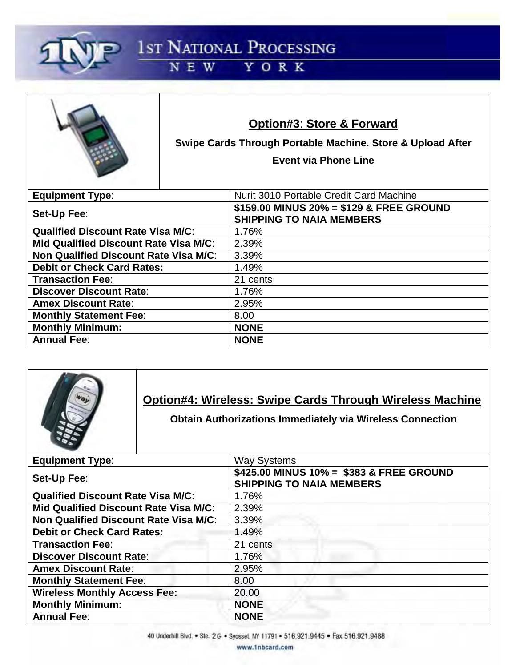

1st NATIONAL PROCESSING

### YORK N E W



## **Option#3**: **Store & Forward**

**Swipe Cards Through Portable Machine. Store & Upload After** 

**Event via Phone Line** 

| <b>Equipment Type:</b>                       | Nurit 3010 Portable Credit Card Machine                                     |
|----------------------------------------------|-----------------------------------------------------------------------------|
| Set-Up Fee:                                  | \$159.00 MINUS 20% = \$129 & FREE GROUND<br><b>SHIPPING TO NAIA MEMBERS</b> |
| <b>Qualified Discount Rate Visa M/C:</b>     | 1.76%                                                                       |
| Mid Qualified Discount Rate Visa M/C:        | 2.39%                                                                       |
| <b>Non Qualified Discount Rate Visa M/C:</b> | 3.39%                                                                       |
| <b>Debit or Check Card Rates:</b>            | 1.49%                                                                       |
| <b>Transaction Fee:</b>                      | 21 cents                                                                    |
| <b>Discover Discount Rate:</b>               | 1.76%                                                                       |
| <b>Amex Discount Rate:</b>                   | 2.95%                                                                       |
| <b>Monthly Statement Fee:</b>                | 8.00                                                                        |
| <b>Monthly Minimum:</b>                      | <b>NONE</b>                                                                 |
| <b>Annual Fee:</b>                           | <b>NONE</b>                                                                 |



 **Obtain Authorizations Immediately via Wireless Connection** 

| <b>Equipment Type:</b>                       | <b>Way Systems</b>                                                          |
|----------------------------------------------|-----------------------------------------------------------------------------|
| Set-Up Fee:                                  | \$425.00 MINUS 10% = \$383 & FREE GROUND<br><b>SHIPPING TO NAIA MEMBERS</b> |
| <b>Qualified Discount Rate Visa M/C:</b>     | 1.76%                                                                       |
| <b>Mid Qualified Discount Rate Visa M/C:</b> | 2.39%                                                                       |
| <b>Non Qualified Discount Rate Visa M/C:</b> | 3.39%                                                                       |
| <b>Debit or Check Card Rates:</b>            | 1.49%                                                                       |
| <b>Transaction Fee:</b>                      | 21 cents                                                                    |
| <b>Discover Discount Rate:</b>               | 1.76%                                                                       |
| <b>Amex Discount Rate:</b>                   | 2.95%                                                                       |
| <b>Monthly Statement Fee:</b>                | 8.00                                                                        |
| <b>Wireless Monthly Access Fee:</b>          | 20.00                                                                       |
| <b>Monthly Minimum:</b>                      | <b>NONE</b>                                                                 |
| <b>Annual Fee:</b>                           | <b>NONE</b>                                                                 |